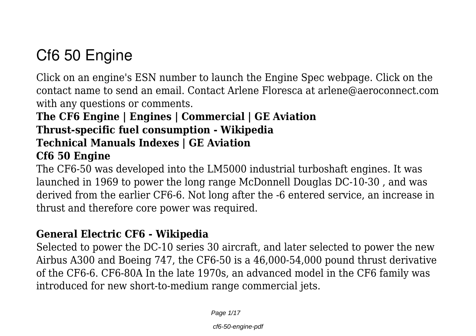# **Cf6 50 Engine**

Click on an engine's ESN number to launch the Engine Spec webpage. Click on the contact name to send an email. Contact Arlene Floresca at arlene@aeroconnect.com with any questions or comments.

#### **The CF6 Engine | Engines | Commercial | GE Aviation Thrust-specific fuel consumption - Wikipedia Technical Manuals Indexes | GE Aviation Cf6 50 Engine**

The CF6-50 was developed into the LM5000 industrial turboshaft engines. It was launched in 1969 to power the long range McDonnell Douglas DC-10-30 , and was derived from the earlier CF6-6. Not long after the -6 entered service, an increase in thrust and therefore core power was required.

#### **General Electric CF6 - Wikipedia**

Selected to power the DC-10 series 30 aircraft, and later selected to power the new Airbus A300 and Boeing 747, the CF6-50 is a 46,000-54,000 pound thrust derivative of the CF6-6. CF6-80A In the late 1970s, an advanced model in the CF6 family was introduced for new short-to-medium range commercial jets.

Page 1/17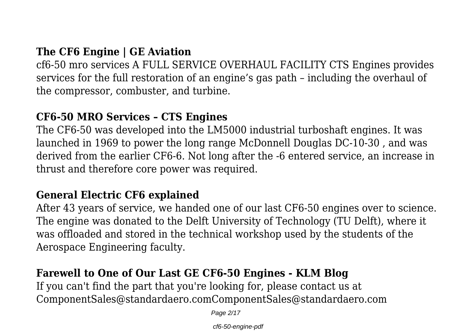#### **The CF6 Engine | GE Aviation**

cf6-50 mro services A FULL SERVICE OVERHAUL FACILITY CTS Engines provides services for the full restoration of an engine's gas path – including the overhaul of the compressor, combuster, and turbine.

#### **CF6-50 MRO Services – CTS Engines**

The CF6-50 was developed into the LM5000 industrial turboshaft engines. It was launched in 1969 to power the long range McDonnell Douglas DC-10-30 , and was derived from the earlier CF6-6. Not long after the -6 entered service, an increase in thrust and therefore core power was required.

#### **General Electric CF6 explained**

After 43 years of service, we handed one of our last CF6-50 engines over to science. The engine was donated to the Delft University of Technology (TU Delft), where it was offloaded and stored in the technical workshop used by the students of the Aerospace Engineering faculty.

#### **Farewell to One of Our Last GE CF6-50 Engines - KLM Blog**

If you can't find the part that you're looking for, please contact us at ComponentSales@standardaero.comComponentSales@standardaero.com

Page 2/17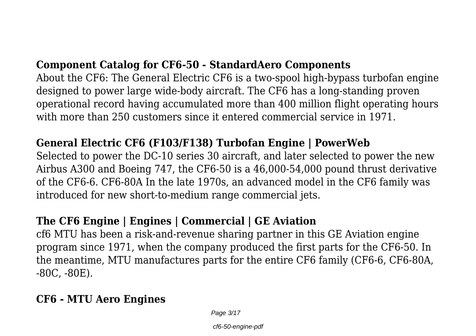#### **Component Catalog for CF6-50 - StandardAero Components**

About the CF6: The General Electric CF6 is a two-spool high-bypass turbofan engine designed to power large wide-body aircraft. The CF6 has a long-standing proven operational record having accumulated more than 400 million flight operating hours with more than 250 customers since it entered commercial service in 1971.

#### **General Electric CF6 (F103/F138) Turbofan Engine | PowerWeb**

Selected to power the DC-10 series 30 aircraft, and later selected to power the new Airbus A300 and Boeing 747, the CF6-50 is a 46,000-54,000 pound thrust derivative of the CF6-6. CF6-80A In the late 1970s, an advanced model in the CF6 family was introduced for new short-to-medium range commercial jets.

#### **The CF6 Engine | Engines | Commercial | GE Aviation**

cf6 MTU has been a risk-and-revenue sharing partner in this GE Aviation engine program since 1971, when the company produced the first parts for the CF6-50. In the meantime, MTU manufactures parts for the entire CF6 family (CF6-6, CF6-80A, -80C, -80E).

#### **CF6 - MTU Aero Engines**

Page 3/17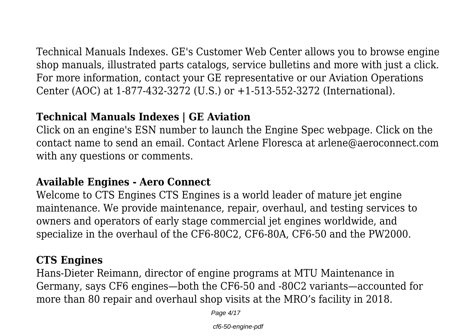Technical Manuals Indexes. GE's Customer Web Center allows you to browse engine shop manuals, illustrated parts catalogs, service bulletins and more with just a click. For more information, contact your GE representative or our Aviation Operations Center (AOC) at 1-877-432-3272 (U.S.) or +1-513-552-3272 (International).

#### **Technical Manuals Indexes | GE Aviation**

Click on an engine's ESN number to launch the Engine Spec webpage. Click on the contact name to send an email. Contact Arlene Floresca at arlene@aeroconnect.com with any questions or comments.

#### **Available Engines - Aero Connect**

Welcome to CTS Engines CTS Engines is a world leader of mature jet engine maintenance. We provide maintenance, repair, overhaul, and testing services to owners and operators of early stage commercial jet engines worldwide, and specialize in the overhaul of the CF6‑80C2, CF6-80A, CF6-50 and the PW2000.

#### **CTS Engines**

Hans-Dieter Reimann, director of engine programs at MTU Maintenance in Germany, says CF6 engines—both the CF6-50 and -80C2 variants—accounted for more than 80 repair and overhaul shop visits at the MRO's facility in 2018.

Page 4/17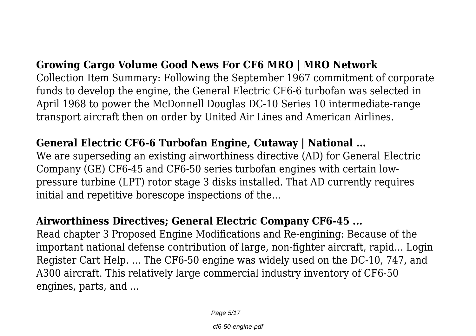#### **Growing Cargo Volume Good News For CF6 MRO | MRO Network**

Collection Item Summary: Following the September 1967 commitment of corporate funds to develop the engine, the General Electric CF6-6 turbofan was selected in April 1968 to power the McDonnell Douglas DC-10 Series 10 intermediate-range transport aircraft then on order by United Air Lines and American Airlines.

#### **General Electric CF6-6 Turbofan Engine, Cutaway | National ...**

We are superseding an existing airworthiness directive (AD) for General Electric Company (GE) CF6-45 and CF6-50 series turbofan engines with certain lowpressure turbine (LPT) rotor stage 3 disks installed. That AD currently requires initial and repetitive borescope inspections of the...

#### **Airworthiness Directives; General Electric Company CF6-45 ...**

Read chapter 3 Proposed Engine Modifications and Re-engining: Because of the important national defense contribution of large, non-fighter aircraft, rapid... Login Register Cart Help. ... The CF6-50 engine was widely used on the DC-10, 747, and A300 aircraft. This relatively large commercial industry inventory of CF6-50 engines, parts, and ...

Page 5/17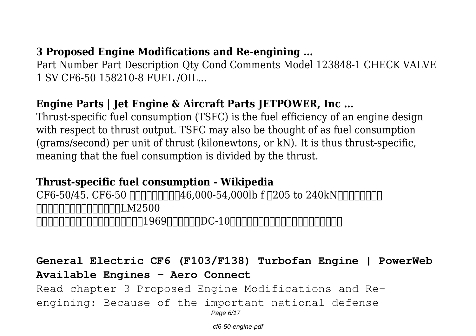## **3 Proposed Engine Modifications and Re-engining ...**

Part Number Part Description Qty Cond Comments Model 123848-1 CHECK VALVE 1 SV CF6-50 158210-8 FUEL /OIL...

## **Engine Parts | Jet Engine & Aircraft Parts JETPOWER, Inc ...**

Thrust-specific fuel consumption (TSFC) is the fuel efficiency of an engine design with respect to thrust output. TSFC may also be thought of as fuel consumption (grams/second) per unit of thrust (kilonewtons, or kN). It is thus thrust-specific, meaning that the fuel consumption is divided by the thrust.

#### **Thrust-specific fuel consumption - Wikipedia**

 $CF6-50/45. CF6-50$   $\Box$ エンジンである。産業・船舶用にLM2500 ガスタービンエンジンとして開発された。1969年に長距離型DC-10用エンジンの後継として開発が開始された。

## **General Electric CF6 (F103/F138) Turbofan Engine | PowerWeb Available Engines - Aero Connect**

Read chapter 3 Proposed Engine Modifications and Reengining: Because of the important national defense Page 6/17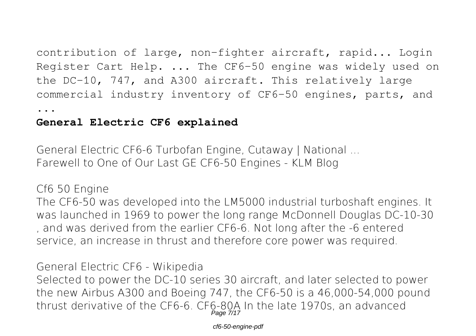contribution of large, non-fighter aircraft, rapid... Login Register Cart Help. ... The CF6-50 engine was widely used on the DC-10, 747, and A300 aircraft. This relatively large commercial industry inventory of CF6-50 engines, parts, and

...

#### **General Electric CF6 explained**

**General Electric CF6-6 Turbofan Engine, Cutaway | National ... Farewell to One of Our Last GE CF6-50 Engines - KLM Blog**

**Cf6 50 Engine**

The CF6-50 was developed into the LM5000 industrial turboshaft engines. It was launched in 1969 to power the long range McDonnell Douglas DC-10-30 , and was derived from the earlier CF6-6. Not long after the -6 entered service, an increase in thrust and therefore core power was required.

**General Electric CF6 - Wikipedia** Selected to power the DC-10 series 30 aircraft, and later selected to power the new Airbus A300 and Boeing 747, the CF6-50 is a 46,000-54,000 pound thrust derivative of the CF6-6. CF6-80A In the late 1970s, an advanced Page 7/17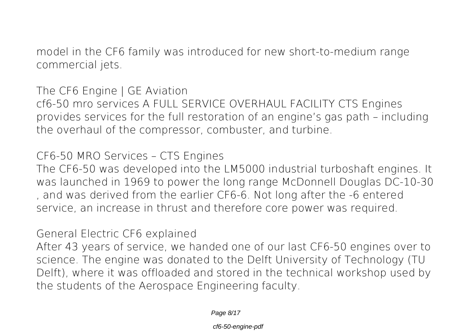model in the CF6 family was introduced for new short-to-medium range commercial jets.

**The CF6 Engine | GE Aviation** cf6-50 mro services A FULL SERVICE OVERHAUL FACILITY CTS Engines provides services for the full restoration of an engine's gas path – including the overhaul of the compressor, combuster, and turbine.

**CF6-50 MRO Services – CTS Engines**

The CF6-50 was developed into the LM5000 industrial turboshaft engines. It was launched in 1969 to power the long range McDonnell Douglas DC-10-30 , and was derived from the earlier CF6-6. Not long after the -6 entered service, an increase in thrust and therefore core power was required.

**General Electric CF6 explained**

After 43 years of service, we handed one of our last CF6-50 engines over to science. The engine was donated to the Delft University of Technology (TU Delft), where it was offloaded and stored in the technical workshop used by the students of the Aerospace Engineering faculty.

Page 8/17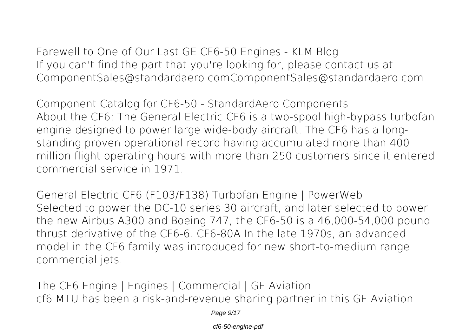**Farewell to One of Our Last GE CF6-50 Engines - KLM Blog** If you can't find the part that you're looking for, please contact us at ComponentSales@standardaero.comComponentSales@standardaero.com

**Component Catalog for CF6-50 - StandardAero Components** About the CF6: The General Electric CF6 is a two-spool high-bypass turbofan engine designed to power large wide-body aircraft. The CF6 has a longstanding proven operational record having accumulated more than 400 million flight operating hours with more than 250 customers since it entered commercial service in 1971.

**General Electric CF6 (F103/F138) Turbofan Engine | PowerWeb** Selected to power the DC-10 series 30 aircraft, and later selected to power the new Airbus A300 and Boeing 747, the CF6-50 is a 46,000-54,000 pound thrust derivative of the CF6-6. CF6-80A In the late 1970s, an advanced model in the CF6 family was introduced for new short-to-medium range commercial jets.

**The CF6 Engine | Engines | Commercial | GE Aviation** cf6 MTU has been a risk-and-revenue sharing partner in this GE Aviation

Page 9/17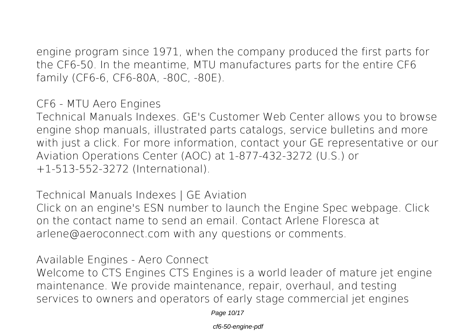engine program since 1971, when the company produced the first parts for the CF6-50. In the meantime, MTU manufactures parts for the entire CF6 family (CF6-6, CF6-80A, -80C, -80E).

**CF6 - MTU Aero Engines**

Technical Manuals Indexes. GE's Customer Web Center allows you to browse engine shop manuals, illustrated parts catalogs, service bulletins and more with just a click. For more information, contact your GE representative or our Aviation Operations Center (AOC) at 1-877-432-3272 (U.S.) or +1-513-552-3272 (International).

**Technical Manuals Indexes | GE Aviation**

Click on an engine's ESN number to launch the Engine Spec webpage. Click on the contact name to send an email. Contact Arlene Floresca at arlene@aeroconnect.com with any questions or comments.

**Available Engines - Aero Connect** Welcome to CTS Engines CTS Engines is a world leader of mature jet engine maintenance. We provide maintenance, repair, overhaul, and testing services to owners and operators of early stage commercial jet engines

Page 10/17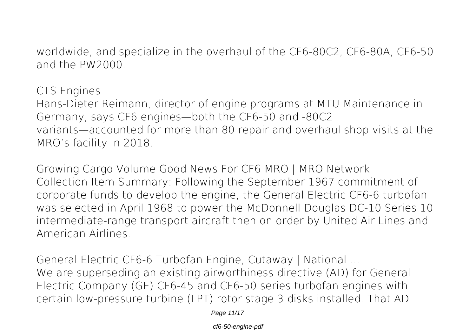worldwide, and specialize in the overhaul of the CF6‑80C2, CF6-80A, CF6-50 and the PW2000.

**CTS Engines**

Hans-Dieter Reimann, director of engine programs at MTU Maintenance in Germany, says CF6 engines—both the CF6-50 and -80C2 variants—accounted for more than 80 repair and overhaul shop visits at the MRO's facility in 2018.

**Growing Cargo Volume Good News For CF6 MRO | MRO Network** Collection Item Summary: Following the September 1967 commitment of corporate funds to develop the engine, the General Electric CF6-6 turbofan was selected in April 1968 to power the McDonnell Douglas DC-10 Series 10 intermediate-range transport aircraft then on order by United Air Lines and American Airlines.

**General Electric CF6-6 Turbofan Engine, Cutaway | National ...** We are superseding an existing airworthiness directive (AD) for General Electric Company (GE) CF6-45 and CF6-50 series turbofan engines with certain low-pressure turbine (LPT) rotor stage 3 disks installed. That AD

Page 11/17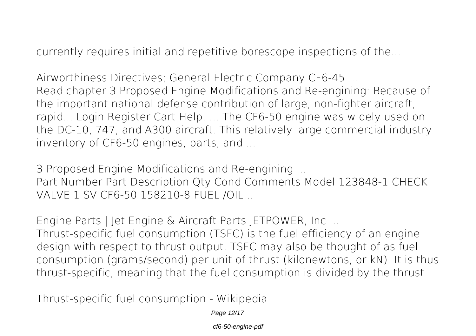currently requires initial and repetitive borescope inspections of the...

**Airworthiness Directives; General Electric Company CF6-45 ...** Read chapter 3 Proposed Engine Modifications and Re-engining: Because of the important national defense contribution of large, non-fighter aircraft, rapid... Login Register Cart Help. ... The CF6-50 engine was widely used on the DC-10, 747, and A300 aircraft. This relatively large commercial industry inventory of CF6-50 engines, parts, and ...

**3 Proposed Engine Modifications and Re-engining ...** Part Number Part Description Qty Cond Comments Model 123848-1 CHECK VALVE 1 SV CF6-50 158210-8 FUEL /OIL...

**Engine Parts | Jet Engine & Aircraft Parts JETPOWER, Inc ...** Thrust-specific fuel consumption (TSFC) is the fuel efficiency of an engine design with respect to thrust output. TSFC may also be thought of as fuel consumption (grams/second) per unit of thrust (kilonewtons, or kN). It is thus thrust-specific, meaning that the fuel consumption is divided by the thrust.

**Thrust-specific fuel consumption - Wikipedia**

Page 12/17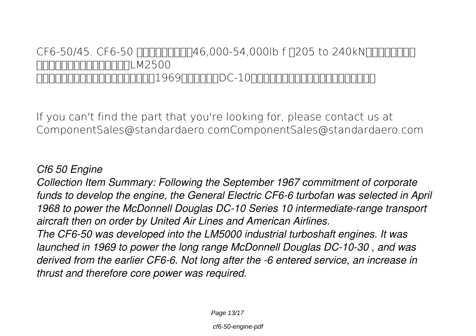# CF6-50/45. CF6-50 0000000000-54,000lb f 0205 to 240kN0000000 エンジンである。産業・船舶用にLM2500 <u>JARAARAARAARA1969AARAAC-10ARAARAARAARAAR</u>

If you can't find the part that you're looking for, please contact us at ComponentSales@standardaero.comComponentSales@standardaero.com

#### *Cf6 50 Engine*

*Collection Item Summary: Following the September 1967 commitment of corporate funds to develop the engine, the General Electric CF6-6 turbofan was selected in April 1968 to power the McDonnell Douglas DC-10 Series 10 intermediate-range transport aircraft then on order by United Air Lines and American Airlines. The CF6-50 was developed into the LM5000 industrial turboshaft engines. It was launched in 1969 to power the long range McDonnell Douglas DC-10-30 , and was derived from the earlier CF6-6. Not long after the -6 entered service, an increase in*

*thrust and therefore core power was required.*

Page 13/17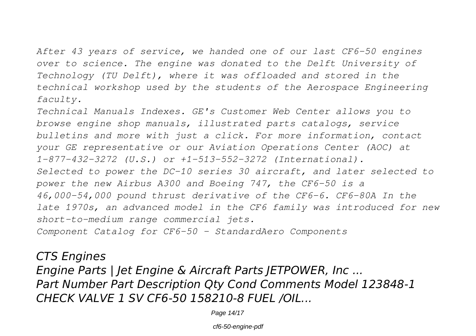*After 43 years of service, we handed one of our last CF6-50 engines over to science. The engine was donated to the Delft University of Technology (TU Delft), where it was offloaded and stored in the technical workshop used by the students of the Aerospace Engineering faculty.*

*Technical Manuals Indexes. GE's Customer Web Center allows you to browse engine shop manuals, illustrated parts catalogs, service bulletins and more with just a click. For more information, contact your GE representative or our Aviation Operations Center (AOC) at 1-877-432-3272 (U.S.) or +1-513-552-3272 (International). Selected to power the DC-10 series 30 aircraft, and later selected to power the new Airbus A300 and Boeing 747, the CF6-50 is a 46,000-54,000 pound thrust derivative of the CF6-6. CF6-80A In the late 1970s, an advanced model in the CF6 family was introduced for new short-to-medium range commercial jets. Component Catalog for CF6-50 - StandardAero Components*

*CTS Engines Engine Parts | Jet Engine & Aircraft Parts JETPOWER, Inc ... Part Number Part Description Qty Cond Comments Model 123848-1 CHECK VALVE 1 SV CF6-50 158210-8 FUEL /OIL...*

Page 14/17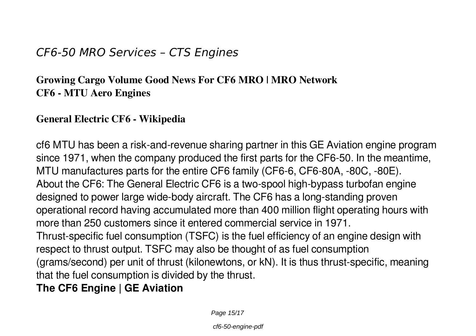# *CF6-50 MRO Services – CTS Engines*

#### **Growing Cargo Volume Good News For CF6 MRO | MRO Network CF6 - MTU Aero Engines**

#### **General Electric CF6 - Wikipedia**

cf6 MTU has been a risk-and-revenue sharing partner in this GE Aviation engine program since 1971, when the company produced the first parts for the CF6-50. In the meantime, MTU manufactures parts for the entire CF6 family (CF6-6, CF6-80A, -80C, -80E). About the CF6: The General Electric CF6 is a two-spool high-bypass turbofan engine designed to power large wide-body aircraft. The CF6 has a long-standing proven operational record having accumulated more than 400 million flight operating hours with more than 250 customers since it entered commercial service in 1971. Thrust-specific fuel consumption (TSFC) is the fuel efficiency of an engine design with respect to thrust output. TSFC may also be thought of as fuel consumption (grams/second) per unit of thrust (kilonewtons, or kN). It is thus thrust-specific, meaning that the fuel consumption is divided by the thrust.

#### **The CF6 Engine | GE Aviation**

Page 15/17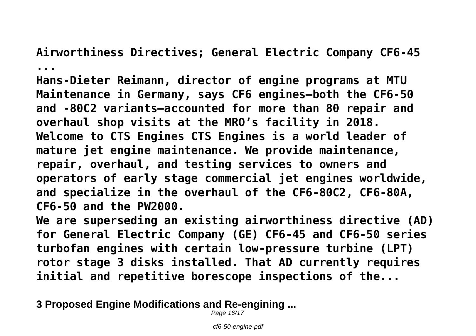**Airworthiness Directives; General Electric Company CF6-45 ...**

**Hans-Dieter Reimann, director of engine programs at MTU Maintenance in Germany, says CF6 engines—both the CF6-50 and -80C2 variants—accounted for more than 80 repair and overhaul shop visits at the MRO's facility in 2018. Welcome to CTS Engines CTS Engines is a world leader of mature jet engine maintenance. We provide maintenance, repair, overhaul, and testing services to owners and operators of early stage commercial jet engines worldwide, and specialize in the overhaul of the CF6‑80C2, CF6-80A, CF6-50 and the PW2000.**

**We are superseding an existing airworthiness directive (AD) for General Electric Company (GE) CF6-45 and CF6-50 series turbofan engines with certain low-pressure turbine (LPT) rotor stage 3 disks installed. That AD currently requires initial and repetitive borescope inspections of the...**

**3 Proposed Engine Modifications and Re-engining ...**

Page 16/17